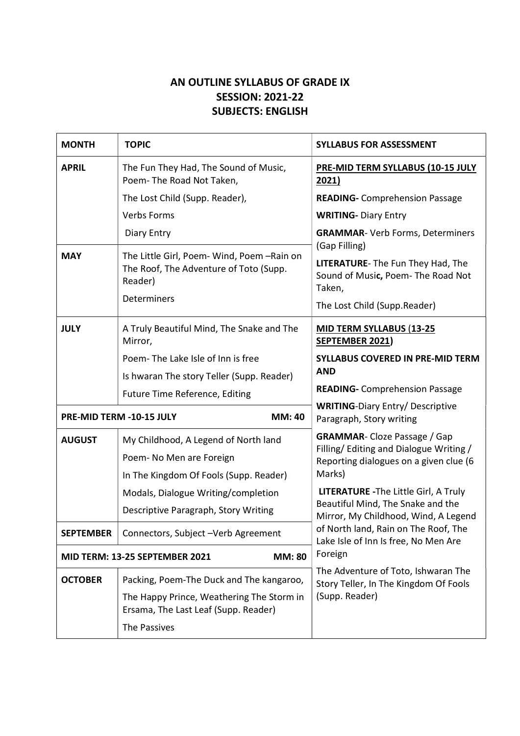## AN OUTLINE SYLLABUS OF GRADE IX SESSION: 2021-22 SUBJECTS: ENGLISH

| <b>MONTH</b>                                    | <b>TOPIC</b>                                                                                               | <b>SYLLABUS FOR ASSESSMENT</b>                                                                                                    |
|-------------------------------------------------|------------------------------------------------------------------------------------------------------------|-----------------------------------------------------------------------------------------------------------------------------------|
| <b>APRIL</b>                                    | The Fun They Had, The Sound of Music,<br>Poem-The Road Not Taken,                                          | <b>PRE-MID TERM SYLLABUS (10-15 JULY</b><br>2021)                                                                                 |
|                                                 | The Lost Child (Supp. Reader),                                                                             | <b>READING-</b> Comprehension Passage                                                                                             |
|                                                 | <b>Verbs Forms</b>                                                                                         | <b>WRITING- Diary Entry</b>                                                                                                       |
|                                                 | Diary Entry                                                                                                | <b>GRAMMAR-</b> Verb Forms, Determiners<br>(Gap Filling)                                                                          |
| <b>MAY</b>                                      | The Little Girl, Poem-Wind, Poem-Rain on<br>The Roof, The Adventure of Toto (Supp.<br>Reader)              | <b>LITERATURE-</b> The Fun They Had, The<br>Sound of Music, Poem- The Road Not<br>Taken,                                          |
|                                                 | Determiners                                                                                                | The Lost Child (Supp.Reader)                                                                                                      |
| <b>JULY</b>                                     | A Truly Beautiful Mind, The Snake and The<br>Mirror,                                                       | <b>MID TERM SYLLABUS (13-25)</b><br>SEPTEMBER 2021)                                                                               |
|                                                 | Poem-The Lake Isle of Inn is free                                                                          | <b>SYLLABUS COVERED IN PRE-MID TERM</b>                                                                                           |
|                                                 | Is hwaran The story Teller (Supp. Reader)                                                                  | <b>AND</b>                                                                                                                        |
|                                                 | Future Time Reference, Editing                                                                             | <b>READING-</b> Comprehension Passage                                                                                             |
| PRE-MID TERM -10-15 JULY<br><b>MM: 40</b>       |                                                                                                            | <b>WRITING-Diary Entry/ Descriptive</b><br>Paragraph, Story writing                                                               |
| <b>AUGUST</b>                                   | My Childhood, A Legend of North land<br>Poem- No Men are Foreign<br>In The Kingdom Of Fools (Supp. Reader) | <b>GRAMMAR-Cloze Passage / Gap</b><br>Filling/ Editing and Dialogue Writing /<br>Reporting dialogues on a given clue (6<br>Marks) |
|                                                 | Modals, Dialogue Writing/completion                                                                        | LITERATURE - The Little Girl, A Truly                                                                                             |
|                                                 | Descriptive Paragraph, Story Writing                                                                       | Beautiful Mind, The Snake and the<br>Mirror, My Childhood, Wind, A Legend                                                         |
| <b>SEPTEMBER</b>                                | Connectors, Subject - Verb Agreement                                                                       | of North land, Rain on The Roof, The<br>Lake Isle of Inn Is free, No Men Are                                                      |
| <b>MM: 80</b><br>MID TERM: 13-25 SEPTEMBER 2021 |                                                                                                            | Foreign                                                                                                                           |
| <b>OCTOBER</b>                                  | Packing, Poem-The Duck and The kangaroo,                                                                   | The Adventure of Toto, Ishwaran The<br>Story Teller, In The Kingdom Of Fools<br>(Supp. Reader)                                    |
|                                                 | The Happy Prince, Weathering The Storm in<br>Ersama, The Last Leaf (Supp. Reader)                          |                                                                                                                                   |
|                                                 | The Passives                                                                                               |                                                                                                                                   |